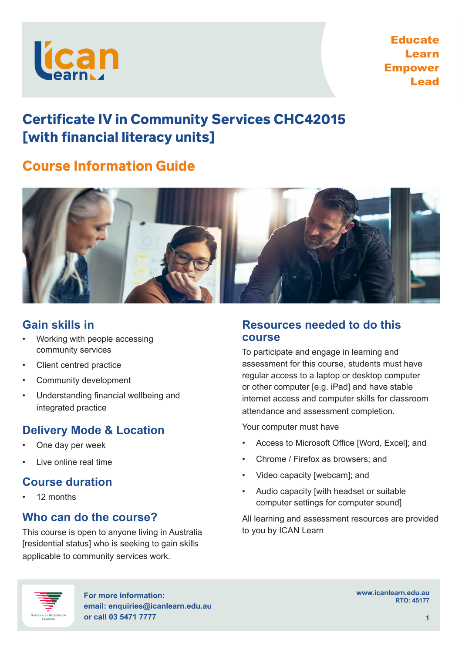

Educate Learn Empower Lead

# **Certificate IV in Community Services CHC42015** [with financial literacy units]

# **Course Information Guide**



## **Gain skills in**

- Working with people accessing community services
- Client centred practice
- Community development
- Understanding financial wellbeing and integrated practice

# **Delivery Mode & Location**

- One day per week
- Live online real time

### **Course duration**

• 12 months

## **Who can do the course?**

This course is open to anyone living in Australia [residential status] who is seeking to gain skills applicable to community services work.

#### **Resources needed to do this course**

To participate and engage in learning and assessment for this course, students must have regular access to a laptop or desktop computer or other computer [e.g. iPad] and have stable internet access and computer skills for classroom attendance and assessment completion.

Your computer must have

- Access to Microsoft Office [Word, Excel]; and
- Chrome / Firefox as browsers; and
- Video capacity [webcam]; and
- Audio capacity [with headset or suitable computer settings for computer sound]

All learning and assessment resources are provided to you by ICAN Learn



**For more information: email: enquiries@icanlearn.edu.au or call 03 5471 7777 1**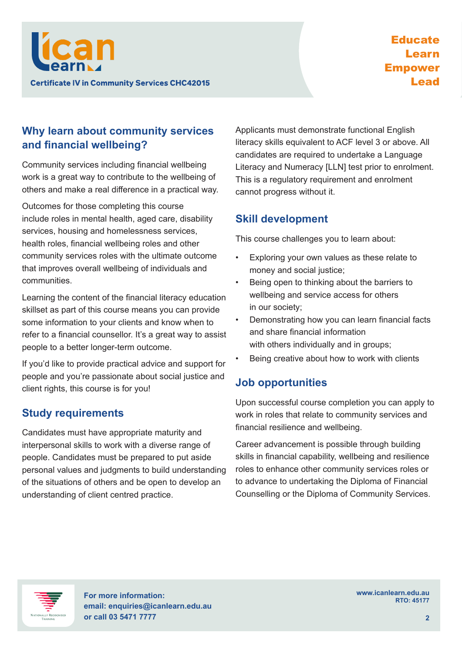

## **Why learn about community services and financial wellbeing?**

Community services including financial wellbeing work is a great way to contribute to the wellbeing of others and make a real difference in a practical way.

Outcomes for those completing this course include roles in mental health, aged care, disability services, housing and homelessness services, health roles, financial wellbeing roles and other community services roles with the ultimate outcome that improves overall wellbeing of individuals and communities.

Learning the content of the financial literacy education skillset as part of this course means you can provide some information to your clients and know when to refer to a financial counsellor. It's a great way to assist people to a better longer-term outcome.

If you'd like to provide practical advice and support for people and you're passionate about social justice and client rights, this course is for you!

#### **Study requirements**

Candidates must have appropriate maturity and interpersonal skills to work with a diverse range of people. Candidates must be prepared to put aside personal values and judgments to build understanding of the situations of others and be open to develop an understanding of client centred practice.

Applicants must demonstrate functional English literacy skills equivalent to ACF level 3 or above. All candidates are required to undertake a Language Literacy and Numeracy [LLN] test prior to enrolment. This is a regulatory requirement and enrolment cannot progress without it.

### **Skill development**

This course challenges you to learn about:

- Exploring your own values as these relate to money and social justice;
- Being open to thinking about the barriers to wellbeing and service access for others in our society;
- Demonstrating how you can learn financial facts and share financial information with others individually and in groups;
- Being creative about how to work with clients

#### **Job opportunities**

Upon successful course completion you can apply to work in roles that relate to community services and financial resilience and wellbeing.

Career advancement is possible through building skills in financial capability, wellbeing and resilience roles to enhance other community services roles or to advance to undertaking the Diploma of Financial Counselling or the Diploma of Community Services.



**For more information: email: enquiries@icanlearn.edu.au or call 03 5471 7777 2**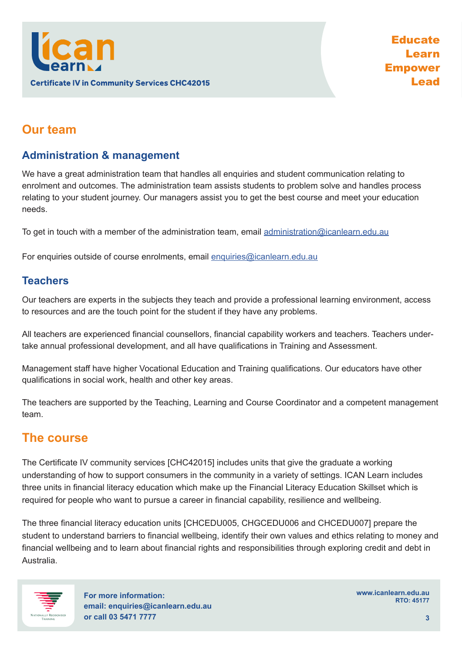

# **Our team**

### **Administration & management**

We have a great administration team that handles all enquiries and student communication relating to enrolment and outcomes. The administration team assists students to problem solve and handles process relating to your student journey. Our managers assist you to get the best course and meet your education needs.

To get in touch with a member of the administration team, email administration@icanlearn.edu.au

For enquiries outside of course enrolments, email enquiries@icanlearn.edu.au

#### **Teachers**

Our teachers are experts in the subjects they teach and provide a professional learning environment, access to resources and are the touch point for the student if they have any problems.

All teachers are experienced financial counsellors, financial capability workers and teachers. Teachers undertake annual professional development, and all have qualifications in Training and Assessment.

Management staff have higher Vocational Education and Training qualifications. Our educators have other qualifications in social work, health and other key areas.

The teachers are supported by the Teaching, Learning and Course Coordinator and a competent management team.

### **The course**

The Certificate IV community services [CHC42015] includes units that give the graduate a working understanding of how to support consumers in the community in a variety of settings. ICAN Learn includes three units in financial literacy education which make up the Financial Literacy Education Skillset which is required for people who want to pursue a career in financial capability, resilience and wellbeing.

The three financial literacy education units [CHCEDU005, CHGCEDU006 and CHCEDU007] prepare the student to understand barriers to financial wellbeing, identify their own values and ethics relating to money and financial wellbeing and to learn about financial rights and responsibilities through exploring credit and debt in Australia.



**For more information: email: enquiries@icanlearn.edu.au or call 03 5471 7777 3**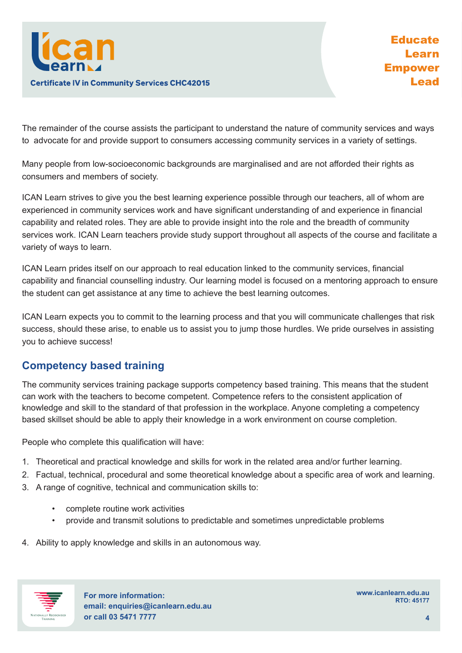

The remainder of the course assists the participant to understand the nature of community services and ways to advocate for and provide support to consumers accessing community services in a variety of settings.

Many people from low-socioeconomic backgrounds are marginalised and are not afforded their rights as consumers and members of society.

ICAN Learn strives to give you the best learning experience possible through our teachers, all of whom are experienced in community services work and have significant understanding of and experience in financial capability and related roles. They are able to provide insight into the role and the breadth of community services work. ICAN Learn teachers provide study support throughout all aspects of the course and facilitate a variety of ways to learn.

ICAN Learn prides itself on our approach to real education linked to the community services, financial capability and financial counselling industry. Our learning model is focused on a mentoring approach to ensure the student can get assistance at any time to achieve the best learning outcomes.

ICAN Learn expects you to commit to the learning process and that you will communicate challenges that risk success, should these arise, to enable us to assist you to jump those hurdles. We pride ourselves in assisting you to achieve success!

### **Competency based training**

The community services training package supports competency based training. This means that the student can work with the teachers to become competent. Competence refers to the consistent application of knowledge and skill to the standard of that profession in the workplace. Anyone completing a competency based skillset should be able to apply their knowledge in a work environment on course completion.

People who complete this qualification will have:

- 1. Theoretical and practical knowledge and skills for work in the related area and/or further learning.
- 2. Factual, technical, procedural and some theoretical knowledge about a specific area of work and learning.
- 3. A range of cognitive, technical and communication skills to:
	- complete routine work activities
	- provide and transmit solutions to predictable and sometimes unpredictable problems
- 4. Ability to apply knowledge and skills in an autonomous way.



**For more information: email: enquiries@icanlearn.edu.au or call 03 5471 7777 4**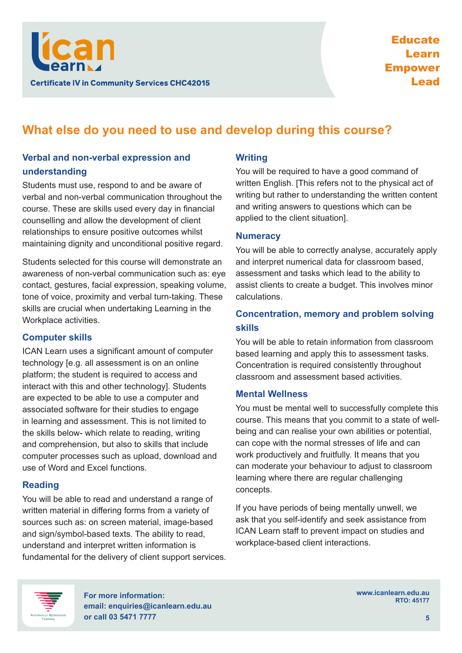

# **What else do you need to use and develop during this course?**

#### **Verbal and non-verbal expression and understanding**

Students must use, respond to and be aware of verbal and non-verbal communication throughout the course. These are skills used every day in financial counselling and allow the development of client relationships to ensure positive outcomes whilst maintaining dignity and unconditional positive regard.

Students selected for this course will demonstrate an awareness of non-verbal communication such as: eye contact, gestures, facial expression, speaking volume, tone of voice, proximity and verbal turn-taking. These skills are crucial when undertaking Learning in the Workplace activities.

#### **Computer skills**

ICAN Learn uses a significant amount of computer technology [e.g. all assessment is on an online platform; the student is required to access and interact with this and other technology]. Students are expected to be able to use a computer and associated software for their studies to engage in learning and assessment. This is not limited to the skills below- which relate to reading, writing and comprehension, but also to skills that include computer processes such as upload, download and use of Word and Excel functions.

#### **Reading**

You will be able to read and understand a range of written material in differing forms from a variety of sources such as: on screen material, image-based and sign/symbol-based texts. The ability to read, understand and interpret written information is fundamental for the delivery of client support services.

#### **Writing**

You will be required to have a good command of written English. [This refers not to the physical act of writing but rather to understanding the written content and writing answers to questions which can be applied to the client situation].

#### **Numeracy**

You will be able to correctly analyse, accurately apply and interpret numerical data for classroom based, assessment and tasks which lead to the ability to assist clients to create a budget. This involves minor calculations.

#### **Concentration, memory and problem solving skills**

You will be able to retain information from classroom based learning and apply this to assessment tasks. Concentration is required consistently throughout classroom and assessment based activities.

#### **Mental Wellness**

You must be mental well to successfully complete this course. This means that you commit to a state of wellbeing and can realise your own abilities or potential, can cope with the normal stresses of life and can work productively and fruitfully. It means that you can moderate your behaviour to adjust to classroom learning where there are regular challenging concepts.

If you have periods of being mentally unwell, we ask that you self-identify and seek assistance from ICAN Learn staff to prevent impact on studies and workplace-based client interactions.



**For more information: email: enquiries@icanlearn.edu.au or call 03 5471 7777 5**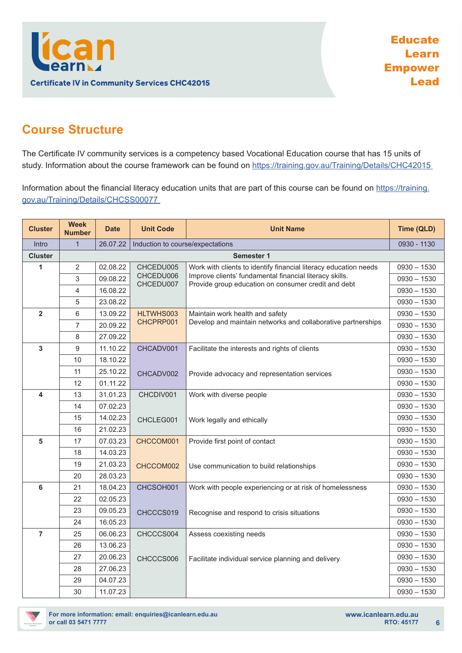

# **Course Structure**

The Certificate IV community services is a competency based Vocational Education course that has 15 units of study. Information about the course framework can be found on https://training.gov.au/Training/Details/CHC42015

Information about the financial literacy education units that are part of this course can be found on https://training. gov.au/Training/Details/CHCSS00077

| <b>Cluster</b>          | <b>Week</b><br><b>Number</b> | <b>Date</b> | <b>Unit Code</b>                 | <b>Unit Name</b>                                                                                               | Time (QLD)    |
|-------------------------|------------------------------|-------------|----------------------------------|----------------------------------------------------------------------------------------------------------------|---------------|
| Intro                   | $\mathbf{1}$                 | 26.07.22    | Induction to course/expectations |                                                                                                                | 0930 - 1130   |
| <b>Cluster</b>          | <b>Semester 1</b>            |             |                                  |                                                                                                                |               |
| 1                       | 2                            | 02.08.22    | CHCEDU005                        | Work with clients to identify financial literacy education needs                                               | $0930 - 1530$ |
|                         | 3                            | 09.08.22    | CHCEDU006<br>CHCEDU007           | Improve clients' fundamental financial literacy skills.<br>Provide group education on consumer credit and debt | $0930 - 1530$ |
|                         | 4                            | 16.08.22    |                                  |                                                                                                                | $0930 - 1530$ |
|                         | 5                            | 23.08.22    |                                  |                                                                                                                | $0930 - 1530$ |
| $\overline{2}$          | 6                            | 13.09.22    | HLTWHS003                        | Maintain work health and safety                                                                                | $0930 - 1530$ |
|                         | 7                            | 20.09.22    | CHCPRP001                        | Develop and maintain networks and collaborative partnerships                                                   | $0930 - 1530$ |
|                         | 8                            | 27.09.22    |                                  |                                                                                                                | $0930 - 1530$ |
| $\overline{\mathbf{3}}$ | 9                            | 11.10.22    | CHCADV001                        | Facilitate the interests and rights of clients                                                                 | $0930 - 1530$ |
|                         | 10                           | 18.10.22    |                                  |                                                                                                                | $0930 - 1530$ |
|                         | 11                           | 25.10.22    | CHCADV002                        | Provide advocacy and representation services                                                                   | $0930 - 1530$ |
|                         | 12                           | 01.11.22    |                                  |                                                                                                                | $0930 - 1530$ |
| 4                       | 13                           | 31.01.23    | CHCDIV001                        | Work with diverse people                                                                                       | $0930 - 1530$ |
|                         | 14                           | 07.02.23    |                                  |                                                                                                                | $0930 - 1530$ |
|                         | 15                           | 14.02.23    | CHCLEG001                        | Work legally and ethically                                                                                     | $0930 - 1530$ |
|                         | 16                           | 21.02.23    |                                  |                                                                                                                | $0930 - 1530$ |
| 5                       | 17                           | 07.03.23    | CHCCOM001                        | Provide first point of contact                                                                                 | $0930 - 1530$ |
|                         | 18                           | 14.03.23    |                                  |                                                                                                                | $0930 - 1530$ |
|                         | 19                           | 21.03.23    | CHCCOM002                        | Use communication to build relationships                                                                       | $0930 - 1530$ |
|                         | 20                           | 28.03.23    |                                  |                                                                                                                | $0930 - 1530$ |
| 6                       | 21                           | 18.04.23    | CHCSOH001                        | Work with people experiencing or at risk of homelessness                                                       | $0930 - 1530$ |
|                         | 22                           | 02.05.23    |                                  |                                                                                                                | $0930 - 1530$ |
|                         | 23                           | 09.05.23    | CHCCCS019                        | Recognise and respond to crisis situations                                                                     | $0930 - 1530$ |
|                         | 24                           | 16.05.23    |                                  |                                                                                                                | $0930 - 1530$ |
| $\overline{7}$          | 25                           | 06.06.23    | CHCCCS004                        | Assess coexisting needs                                                                                        | $0930 - 1530$ |
|                         | 26                           | 13.06.23    |                                  |                                                                                                                | $0930 - 1530$ |
|                         | 27                           | 20.06.23    | CHCCCS006                        | Facilitate individual service planning and delivery                                                            | $0930 - 1530$ |
|                         | 28                           | 27.06.23    |                                  |                                                                                                                | $0930 - 1530$ |
|                         | 29                           | 04.07.23    |                                  |                                                                                                                | $0930 - 1530$ |
|                         | 30                           | 11.07.23    |                                  |                                                                                                                | $0930 - 1530$ |